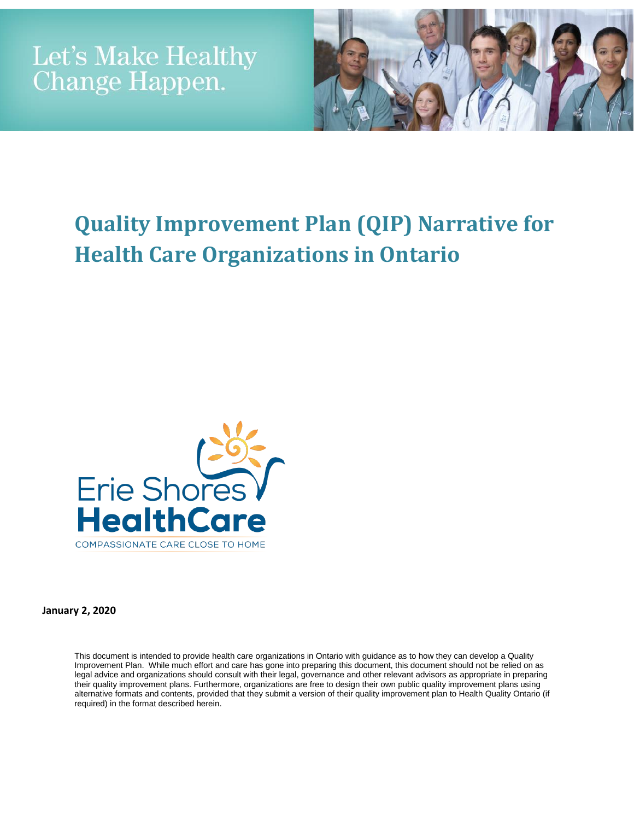

# **Quality Improvement Plan (QIP) Narrative for Health Care Organizations in Ontario**



**January 2, 2020**

This document is intended to provide health care organizations in Ontario with guidance as to how they can develop a Quality Improvement Plan. While much effort and care has gone into preparing this document, this document should not be relied on as legal advice and organizations should consult with their legal, governance and other relevant advisors as appropriate in preparing their quality improvement plans. Furthermore, organizations are free to design their own public quality improvement plans using alternative formats and contents, provided that they submit a version of their quality improvement plan to Health Quality Ontario (if required) in the format described herein.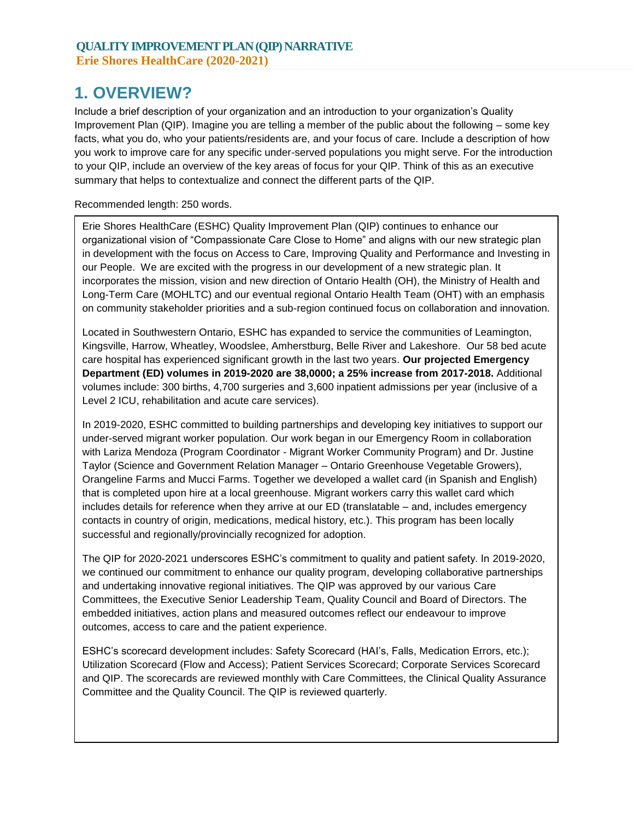## **1. OVERVIEW?**

Include a brief description of your organization and an introduction to your organization's Quality Improvement Plan (QIP). Imagine you are telling a member of the public about the following – some key facts, what you do, who your patients/residents are, and your focus of care. Include a description of how you work to improve care for any specific under-served populations you might serve. For the introduction to your QIP, include an overview of the key areas of focus for your QIP. Think of this as an executive summary that helps to contextualize and connect the different parts of the QIP.

Recommended length: 250 words.

Erie Shores HealthCare (ESHC) Quality Improvement Plan (QIP) continues to enhance our organizational vision of "Compassionate Care Close to Home" and aligns with our new strategic plan in development with the focus on Access to Care, Improving Quality and Performance and Investing in our People. We are excited with the progress in our development of a new strategic plan. It incorporates the mission, vision and new direction of Ontario Health (OH), the Ministry of Health and Long-Term Care (MOHLTC) and our eventual regional Ontario Health Team (OHT) with an emphasis on community stakeholder priorities and a sub-region continued focus on collaboration and innovation.

Located in Southwestern Ontario, ESHC has expanded to service the communities of Leamington, Kingsville, Harrow, Wheatley, Woodslee, Amherstburg, Belle River and Lakeshore. Our 58 bed acute care hospital has experienced significant growth in the last two years. **Our projected Emergency Department (ED) volumes in 2019-2020 are 38,0000; a 25% increase from 2017-2018.** Additional volumes include: 300 births, 4,700 surgeries and 3,600 inpatient admissions per year (inclusive of a Level 2 ICU, rehabilitation and acute care services).

In 2019-2020, ESHC committed to building partnerships and developing key initiatives to support our under-served migrant worker population. Our work began in our Emergency Room in collaboration with Lariza Mendoza (Program Coordinator - Migrant Worker Community Program) and Dr. Justine Taylor (Science and Government Relation Manager – Ontario Greenhouse Vegetable Growers), Orangeline Farms and Mucci Farms. Together we developed a wallet card (in Spanish and English) that is completed upon hire at a local greenhouse. Migrant workers carry this wallet card which includes details for reference when they arrive at our ED (translatable – and, includes emergency contacts in country of origin, medications, medical history, etc.). This program has been locally successful and regionally/provincially recognized for adoption.

The QIP for 2020-2021 underscores ESHC's commitment to quality and patient safety. In 2019-2020, we continued our commitment to enhance our quality program, developing collaborative partnerships and undertaking innovative regional initiatives. The QIP was approved by our various Care Committees, the Executive Senior Leadership Team, Quality Council and Board of Directors. The embedded initiatives, action plans and measured outcomes reflect our endeavour to improve outcomes, access to care and the patient experience.

ESHC's scorecard development includes: Safety Scorecard (HAI's, Falls, Medication Errors, etc.); Utilization Scorecard (Flow and Access); Patient Services Scorecard; Corporate Services Scorecard and QIP. The scorecards are reviewed monthly with Care Committees, the Clinical Quality Assurance Committee and the Quality Council. The QIP is reviewed quarterly.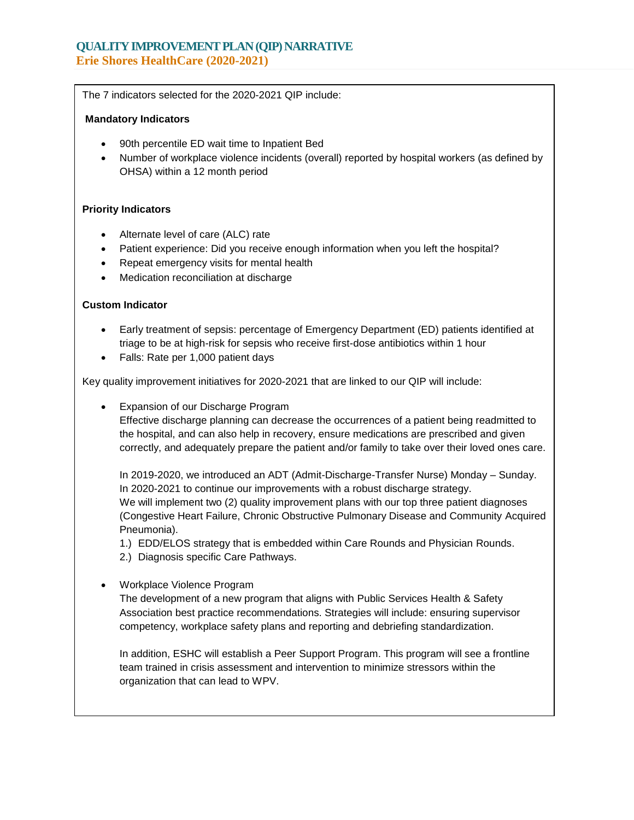#### **QUALITY IMPROVEMENT PLAN (QIP) NARRATIVE Erie Shores HealthCare (2020-2021)**

The 7 indicators selected for the 2020-2021 QIP include:

#### **Mandatory Indicators**

- 90th percentile ED wait time to Inpatient Bed
- Number of workplace violence incidents (overall) reported by hospital workers (as defined by OHSA) within a 12 month period

#### **Priority Indicators**

- Alternate level of care (ALC) rate
- Patient experience: Did you receive enough information when you left the hospital?
- Repeat emergency visits for mental health
- Medication reconciliation at discharge

#### **Custom Indicator**

- Early treatment of sepsis: percentage of Emergency Department (ED) patients identified at triage to be at high-risk for sepsis who receive first-dose antibiotics within 1 hour
- Falls: Rate per 1,000 patient days

Key quality improvement initiatives for 2020-2021 that are linked to our QIP will include:

Expansion of our Discharge Program

Effective discharge planning can decrease the occurrences of a patient being readmitted to the hospital, and can also help in recovery, ensure medications are prescribed and given correctly, and adequately prepare the patient and/or family to take over their loved ones care.

In 2019-2020, we introduced an ADT (Admit-Discharge-Transfer Nurse) Monday – Sunday. In 2020-2021 to continue our improvements with a robust discharge strategy. We will implement two (2) quality improvement plans with our top three patient diagnoses (Congestive Heart Failure, Chronic Obstructive Pulmonary Disease and Community Acquired Pneumonia).

- 1.) EDD/ELOS strategy that is embedded within Care Rounds and Physician Rounds.
- 2.) Diagnosis specific Care Pathways.
- Workplace Violence Program

The development of a new program that aligns with Public Services Health & Safety Association best practice recommendations. Strategies will include: ensuring supervisor competency, workplace safety plans and reporting and debriefing standardization.

In addition, ESHC will establish a Peer Support Program. This program will see a frontline team trained in crisis assessment and intervention to minimize stressors within the organization that can lead to WPV.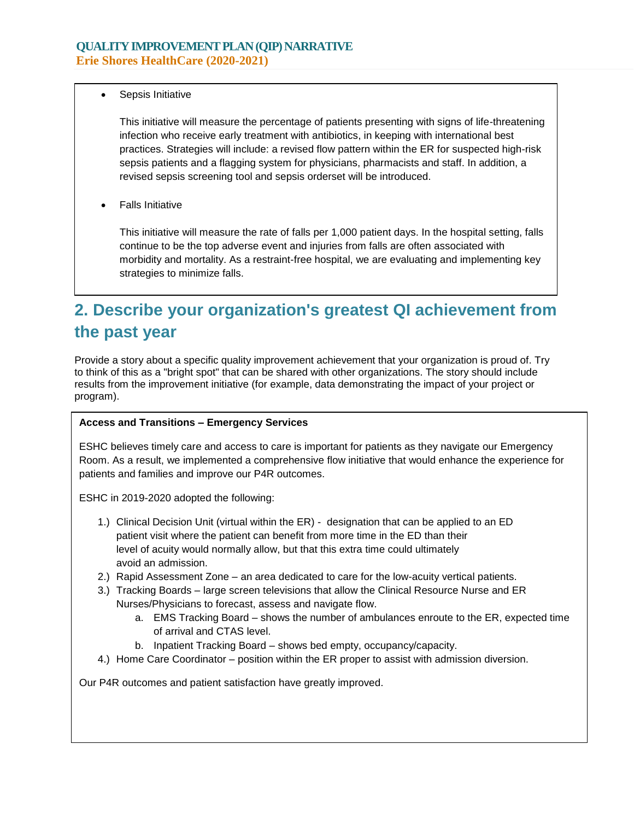Sepsis Initiative

This initiative will measure the percentage of patients presenting with signs of life-threatening infection who receive early treatment with antibiotics, in keeping with international best practices. Strategies will include: a revised flow pattern within the ER for suspected high-risk sepsis patients and a flagging system for physicians, pharmacists and staff. In addition, a revised sepsis screening tool and sepsis orderset will be introduced.

Falls Initiative

This initiative will measure the rate of falls per 1,000 patient days. In the hospital setting, falls continue to be the top adverse event and injuries from falls are often associated with morbidity and mortality. As a restraint-free hospital, we are evaluating and implementing key strategies to minimize falls.

# **2. Describe your organization's greatest QI achievement from the past year**

Provide a story about a specific quality improvement achievement that your organization is proud of. Try to think of this as a "bright spot" that can be shared with other organizations. The story should include results from the improvement initiative (for example, data demonstrating the impact of your project or program).

#### **Access and Transitions – Emergency Services**

ESHC believes timely care and access to care is important for patients as they navigate our Emergency Room. As a result, we implemented a comprehensive flow initiative that would enhance the experience for patients and families and improve our P4R outcomes.

ESHC in 2019-2020 adopted the following:

- 1.) Clinical Decision Unit (virtual within the ER) designation that can be applied to an ED patient visit where the patient can benefit from more time in the ED than their level of acuity would normally allow, but that this extra time could ultimately avoid an admission.
- 2.) Rapid Assessment Zone an area dedicated to care for the low-acuity vertical patients.
- 3.) Tracking Boards large screen televisions that allow the Clinical Resource Nurse and ER Nurses/Physicians to forecast, assess and navigate flow.
	- a. EMS Tracking Board shows the number of ambulances enroute to the ER, expected time of arrival and CTAS level.
	- b. Inpatient Tracking Board shows bed empty, occupancy/capacity.
- 4.) Home Care Coordinator position within the ER proper to assist with admission diversion.

Our P4R outcomes and patient satisfaction have greatly improved.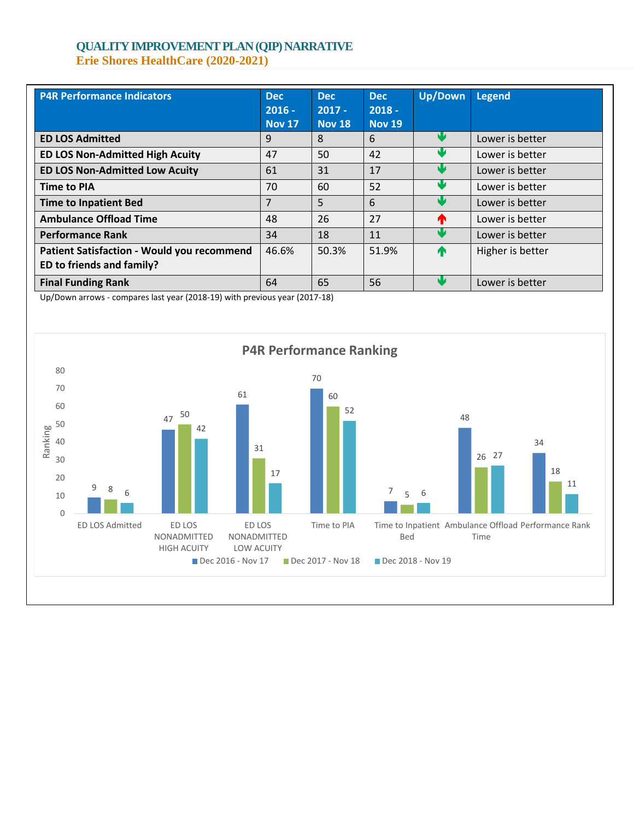#### **QUALITY IMPROVEMENT PLAN (QIP) NARRATIVE Erie Shores HealthCare (2020-2021)**

| <b>P4R Performance Indicators</b>                 | <b>Dec</b><br>$2016 -$<br><b>Nov 17</b> | <b>Dec</b><br>$2017 -$<br><b>Nov 18</b> | <b>Dec</b><br>$2018 -$<br><b>Nov 19</b> | <b>Up/Down</b> | Legend           |
|---------------------------------------------------|-----------------------------------------|-----------------------------------------|-----------------------------------------|----------------|------------------|
| <b>ED LOS Admitted</b>                            | 9                                       | 8                                       | 6                                       | NZ             | Lower is better  |
| <b>ED LOS Non-Admitted High Acuity</b>            | 47                                      | 50                                      | 42                                      |                | Lower is better  |
| <b>ED LOS Non-Admitted Low Acuity</b>             | 61                                      | 31                                      | 17                                      |                | Lower is better  |
| <b>Time to PIA</b>                                | 70                                      | 60                                      | 52                                      |                | Lower is better  |
| <b>Time to Inpatient Bed</b>                      | 7                                       | 5                                       | 6                                       |                | Lower is better  |
| <b>Ambulance Offload Time</b>                     | 48                                      | 26                                      | 27                                      | m              | Lower is better  |
| <b>Performance Rank</b>                           | 34                                      | 18                                      | 11                                      |                | Lower is better  |
| <b>Patient Satisfaction - Would you recommend</b> | 46.6%                                   | 50.3%                                   | 51.9%                                   | T              | Higher is better |
| ED to friends and family?                         |                                         |                                         |                                         |                |                  |
| <b>Final Funding Rank</b>                         | 64                                      | 65                                      | 56                                      |                | Lower is better  |

Up/Down arrows - compares last year (2018-19) with previous year (2017-18)

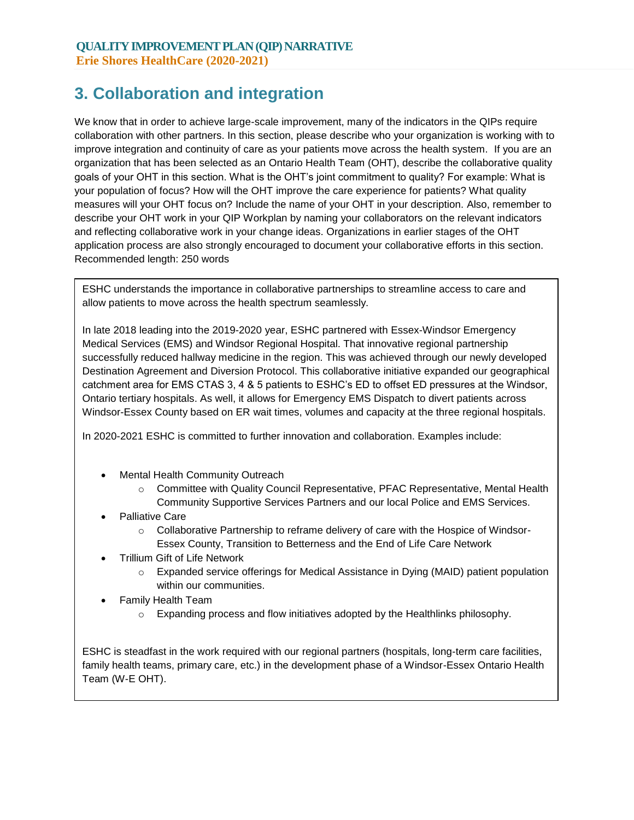## **3. Collaboration and integration**

We know that in order to achieve large-scale improvement, many of the indicators in the QIPs require collaboration with other partners. In this section, please describe who your organization is working with to improve integration and continuity of care as your patients move across the health system. If you are an organization that has been selected as an Ontario Health Team (OHT), describe the collaborative quality goals of your OHT in this section. What is the OHT's joint commitment to quality? For example: What is your population of focus? How will the OHT improve the care experience for patients? What quality measures will your OHT focus on? Include the name of your OHT in your description. Also, remember to describe your OHT work in your QIP Workplan by naming your collaborators on the relevant indicators and reflecting collaborative work in your change ideas. Organizations in earlier stages of the OHT application process are also strongly encouraged to document your collaborative efforts in this section. Recommended length: 250 words

ESHC understands the importance in collaborative partnerships to streamline access to care and allow patients to move across the health spectrum seamlessly.

In late 2018 leading into the 2019-2020 year, ESHC partnered with Essex-Windsor Emergency Medical Services (EMS) and Windsor Regional Hospital. That innovative regional partnership successfully reduced hallway medicine in the region. This was achieved through our newly developed Destination Agreement and Diversion Protocol. This collaborative initiative expanded our geographical catchment area for EMS CTAS 3, 4 & 5 patients to ESHC's ED to offset ED pressures at the Windsor, Ontario tertiary hospitals. As well, it allows for Emergency EMS Dispatch to divert patients across Windsor-Essex County based on ER wait times, volumes and capacity at the three regional hospitals.

In 2020-2021 ESHC is committed to further innovation and collaboration. Examples include:

- Mental Health Community Outreach
	- o Committee with Quality Council Representative, PFAC Representative, Mental Health Community Supportive Services Partners and our local Police and EMS Services.
- Palliative Care
	- $\circ$  Collaborative Partnership to reframe delivery of care with the Hospice of Windsor-Essex County, Transition to Betterness and the End of Life Care Network
- Trillium Gift of Life Network
	- o Expanded service offerings for Medical Assistance in Dying (MAID) patient population within our communities.
- Family Health Team
	- o Expanding process and flow initiatives adopted by the Healthlinks philosophy.

ESHC is steadfast in the work required with our regional partners (hospitals, long-term care facilities, family health teams, primary care, etc.) in the development phase of a Windsor-Essex Ontario Health Team (W-E OHT).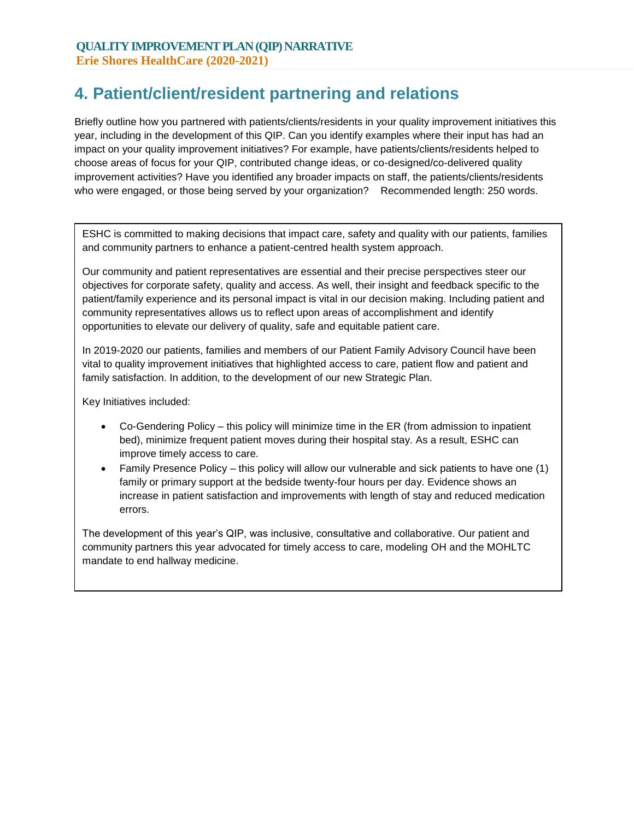## **4. Patient/client/resident partnering and relations**

Briefly outline how you partnered with patients/clients/residents in your quality improvement initiatives this year, including in the development of this QIP. Can you identify examples where their input has had an impact on your quality improvement initiatives? For example, have patients/clients/residents helped to choose areas of focus for your QIP, contributed change ideas, or co-designed/co-delivered quality improvement activities? Have you identified any broader impacts on staff, the patients/clients/residents who were engaged, or those being served by your organization? Recommended length: 250 words.

ESHC is committed to making decisions that impact care, safety and quality with our patients, families and community partners to enhance a patient-centred health system approach.

Our community and patient representatives are essential and their precise perspectives steer our objectives for corporate safety, quality and access. As well, their insight and feedback specific to the patient/family experience and its personal impact is vital in our decision making. Including patient and community representatives allows us to reflect upon areas of accomplishment and identify opportunities to elevate our delivery of quality, safe and equitable patient care.

In 2019-2020 our patients, families and members of our Patient Family Advisory Council have been vital to quality improvement initiatives that highlighted access to care, patient flow and patient and family satisfaction. In addition, to the development of our new Strategic Plan.

Key Initiatives included:

- Co-Gendering Policy this policy will minimize time in the ER (from admission to inpatient bed), minimize frequent patient moves during their hospital stay. As a result, ESHC can improve timely access to care.
- Family Presence Policy this policy will allow our vulnerable and sick patients to have one (1) family or primary support at the bedside twenty-four hours per day. Evidence shows an increase in patient satisfaction and improvements with length of stay and reduced medication errors.

The development of this year's QIP, was inclusive, consultative and collaborative. Our patient and community partners this year advocated for timely access to care, modeling OH and the MOHLTC mandate to end hallway medicine.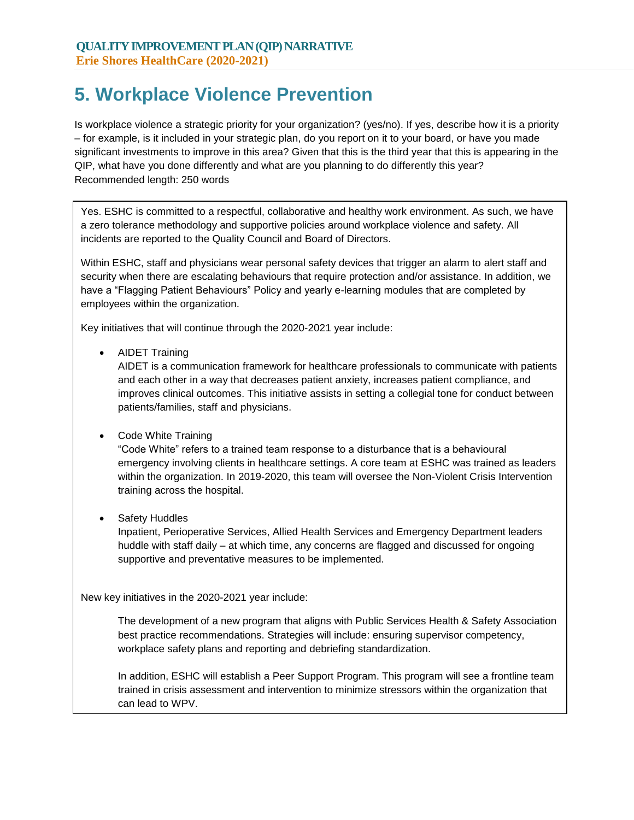# **5. Workplace Violence Prevention**

Is workplace violence a strategic priority for your organization? (yes/no). If yes, describe how it is a priority – for example, is it included in your strategic plan, do you report on it to your board, or have you made significant investments to improve in this area? Given that this is the third year that this is appearing in the QIP, what have you done differently and what are you planning to do differently this year? Recommended length: 250 words

Yes. ESHC is committed to a respectful, collaborative and healthy work environment. As such, we have a zero tolerance methodology and supportive policies around workplace violence and safety. All incidents are reported to the Quality Council and Board of Directors.

Within ESHC, staff and physicians wear personal safety devices that trigger an alarm to alert staff and security when there are escalating behaviours that require protection and/or assistance. In addition, we have a "Flagging Patient Behaviours" Policy and yearly e-learning modules that are completed by employees within the organization.

Key initiatives that will continue through the 2020-2021 year include:

• AIDET Training

AIDET is a communication framework for healthcare professionals to communicate with patients and each other in a way that decreases patient anxiety, increases patient compliance, and improves clinical outcomes. This initiative assists in setting a collegial tone for conduct between patients/families, staff and physicians.

• Code White Training

"Code White" refers to a trained team response to a disturbance that is a behavioural emergency involving clients in healthcare settings. A core team at ESHC was trained as leaders within the organization. In 2019-2020, this team will oversee the Non-Violent Crisis Intervention training across the hospital.

• Safety Huddles

Inpatient, Perioperative Services, Allied Health Services and Emergency Department leaders huddle with staff daily – at which time, any concerns are flagged and discussed for ongoing supportive and preventative measures to be implemented.

New key initiatives in the 2020-2021 year include:

The development of a new program that aligns with Public Services Health & Safety Association best practice recommendations. Strategies will include: ensuring supervisor competency, workplace safety plans and reporting and debriefing standardization.

In addition, ESHC will establish a Peer Support Program. This program will see a frontline team trained in crisis assessment and intervention to minimize stressors within the organization that can lead to WPV.